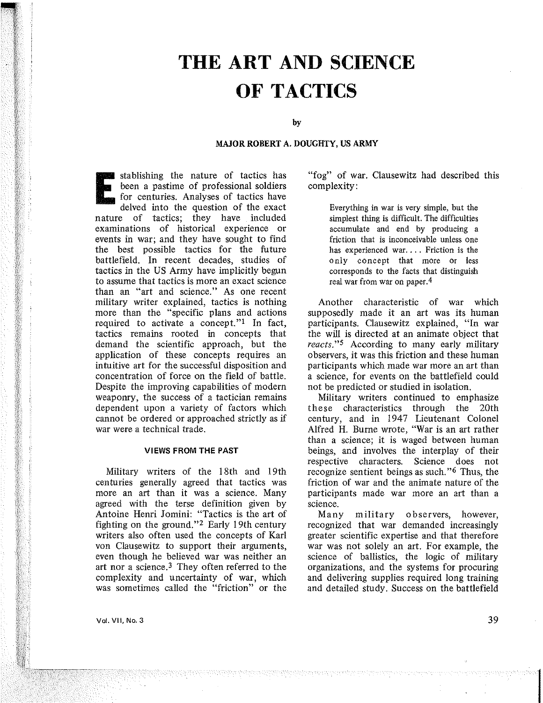# **THE ART AND SCIENCE OF TACTICS**

by

## MAJOR ROBERT A. DOUGHTY, US ARMY

stablishing the nature of tactics has<br>been a pastime of professional soldiers<br>for centuries. Analyses of tactics have<br>delved into the question of the exact been a pastime of professional soldiers for centuries. Analyses of tactics have delved into the question of the exact nature of tactics; they have included examinations of historical experience or events in war; and they have sought to find the best possible tactics for the future battlefield. In recent decades, studies of tactics in the US Army have implicitly begun to assume that tactics is more an exact science than an "art and science." As one recent military writer explained, tactics is nothing more than the "specific plans and actions required to activate a concept."l In fact, tactics remains rooted in concepts that demand the scientific approach, but the application of these concepts requires an intuitive art for the successful disposition and concentration of force on the field of battle. Despite the improving capabilities of modern weapomy, the success of a tactician remains dependent upon a variety of factors which cannot be ordered or approached strictly as if war were a technical trade.

### VIEWS FROM THE PAST

Military writers of the 18th and 19th centuries generally agreed that tactics was more an art than it was a science. Many agreed with the terse definition given by Antoine Henri Jomini: "Tactics is the art of fighting on the ground."2 Early 19th century writers also often used the concepts of Karl von Clausewitz to support their arguments, even though he believed war was neither an art nor a science.<sup>3</sup> They often referred to the complexity and uncertainty of war, which was sometimes called the "friction" or the "fog" of war. Clausewitz had described this complexity:

> Everything in war is very simple, but the simplest thing is difficult. The difficulties accumulate and end by producing a friction that is inconceivable unless one has experienced war.... Friction is the only concept that more or less corresponds to the facts that distinguish real war from war on paper. 4

Another characteristic of war which supposedly made it an art was its human participants. Clausewitz explained, "In war the will is directed at an animate object that *reacts."5* According to many early military observers, it was this friction and these human participants which made war more an art than a science, for events on the battlefield could not be predicted or studied in isolation.

Military writers continued to emphasize these characteristics through the 20th century, and in 1947 Lieutenant Colonel Alfred H. Burne wrote, "War is an art rather than a science; it is waged between human beings, and involves the interplay of their respective characters. Science does not recognize sentient beings as such."6 Thus, the friction of war and the animate nature of the participants made war more an art than a science.

Many military observers, however, recognized that war demanded increasingly greater scientific expertise and that therefore war was not solely an art. For example, the science of ballistics, the logic of military organizations, and the systems for procuring and delivering supplies required long training and detailed study. Success on the battlefield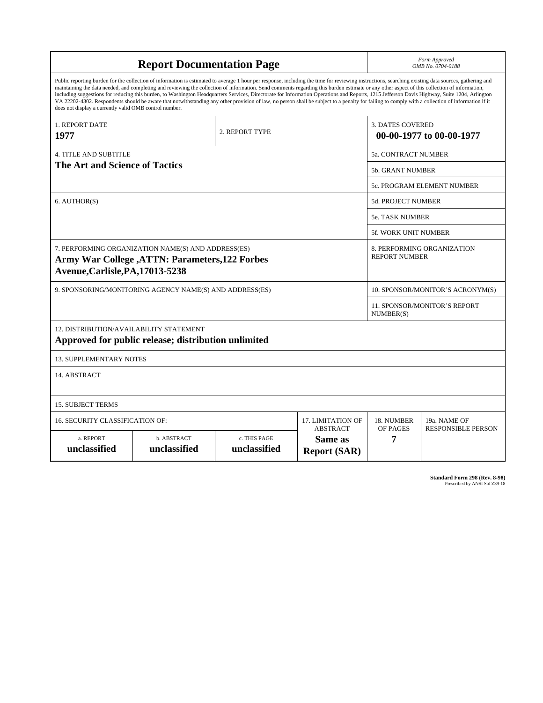| <b>Report Documentation Page</b>                                                                                                                                                                                                                                                                                                                                                                                                                                                                                                                                                                                                                                                                                                                                                                                                                                   |                             |                              |                                                   | Form Approved<br>OMB No. 0704-0188                  |                           |
|--------------------------------------------------------------------------------------------------------------------------------------------------------------------------------------------------------------------------------------------------------------------------------------------------------------------------------------------------------------------------------------------------------------------------------------------------------------------------------------------------------------------------------------------------------------------------------------------------------------------------------------------------------------------------------------------------------------------------------------------------------------------------------------------------------------------------------------------------------------------|-----------------------------|------------------------------|---------------------------------------------------|-----------------------------------------------------|---------------------------|
| Public reporting burden for the collection of information is estimated to average 1 hour per response, including the time for reviewing instructions, searching existing data sources, gathering and<br>maintaining the data needed, and completing and reviewing the collection of information. Send comments regarding this burden estimate or any other aspect of this collection of information,<br>including suggestions for reducing this burden, to Washington Headquarters Services, Directorate for Information Operations and Reports, 1215 Jefferson Davis Highway, Suite 1204, Arlington<br>VA 22202-4302. Respondents should be aware that notwithstanding any other provision of law, no person shall be subject to a penalty for failing to comply with a collection of information if it<br>does not display a currently valid OMB control number. |                             |                              |                                                   |                                                     |                           |
| <b>1. REPORT DATE</b><br>1977                                                                                                                                                                                                                                                                                                                                                                                                                                                                                                                                                                                                                                                                                                                                                                                                                                      |                             | 2. REPORT TYPE               |                                                   | <b>3. DATES COVERED</b><br>00-00-1977 to 00-00-1977 |                           |
| <b>4. TITLE AND SUBTITLE</b>                                                                                                                                                                                                                                                                                                                                                                                                                                                                                                                                                                                                                                                                                                                                                                                                                                       |                             |                              |                                                   | <b>5a. CONTRACT NUMBER</b>                          |                           |
| <b>The Art and Science of Tactics</b>                                                                                                                                                                                                                                                                                                                                                                                                                                                                                                                                                                                                                                                                                                                                                                                                                              |                             |                              |                                                   | 5b. GRANT NUMBER                                    |                           |
|                                                                                                                                                                                                                                                                                                                                                                                                                                                                                                                                                                                                                                                                                                                                                                                                                                                                    |                             |                              |                                                   | 5c. PROGRAM ELEMENT NUMBER                          |                           |
| 6. AUTHOR(S)                                                                                                                                                                                                                                                                                                                                                                                                                                                                                                                                                                                                                                                                                                                                                                                                                                                       |                             |                              |                                                   | <b>5d. PROJECT NUMBER</b>                           |                           |
|                                                                                                                                                                                                                                                                                                                                                                                                                                                                                                                                                                                                                                                                                                                                                                                                                                                                    |                             |                              |                                                   | <b>5e. TASK NUMBER</b>                              |                           |
|                                                                                                                                                                                                                                                                                                                                                                                                                                                                                                                                                                                                                                                                                                                                                                                                                                                                    |                             |                              |                                                   | 5f. WORK UNIT NUMBER                                |                           |
| 7. PERFORMING ORGANIZATION NAME(S) AND ADDRESS(ES)<br><b>Army War College , ATTN: Parameters, 122 Forbes</b><br>Avenue, Carlisle, PA, 17013-5238                                                                                                                                                                                                                                                                                                                                                                                                                                                                                                                                                                                                                                                                                                                   |                             |                              |                                                   | 8. PERFORMING ORGANIZATION<br><b>REPORT NUMBER</b>  |                           |
| 9. SPONSORING/MONITORING AGENCY NAME(S) AND ADDRESS(ES)                                                                                                                                                                                                                                                                                                                                                                                                                                                                                                                                                                                                                                                                                                                                                                                                            |                             |                              |                                                   | 10. SPONSOR/MONITOR'S ACRONYM(S)                    |                           |
|                                                                                                                                                                                                                                                                                                                                                                                                                                                                                                                                                                                                                                                                                                                                                                                                                                                                    |                             |                              |                                                   | 11. SPONSOR/MONITOR'S REPORT<br>NUMBER(S)           |                           |
| 12. DISTRIBUTION/AVAILABILITY STATEMENT<br>Approved for public release; distribution unlimited                                                                                                                                                                                                                                                                                                                                                                                                                                                                                                                                                                                                                                                                                                                                                                     |                             |                              |                                                   |                                                     |                           |
| <b>13. SUPPLEMENTARY NOTES</b>                                                                                                                                                                                                                                                                                                                                                                                                                                                                                                                                                                                                                                                                                                                                                                                                                                     |                             |                              |                                                   |                                                     |                           |
| 14. ABSTRACT                                                                                                                                                                                                                                                                                                                                                                                                                                                                                                                                                                                                                                                                                                                                                                                                                                                       |                             |                              |                                                   |                                                     |                           |
| <b>15. SUBJECT TERMS</b>                                                                                                                                                                                                                                                                                                                                                                                                                                                                                                                                                                                                                                                                                                                                                                                                                                           |                             |                              |                                                   |                                                     |                           |
| 16. SECURITY CLASSIFICATION OF:                                                                                                                                                                                                                                                                                                                                                                                                                                                                                                                                                                                                                                                                                                                                                                                                                                    | 17. LIMITATION OF           | 18. NUMBER<br>OF PAGES       | 19a. NAME OF                                      |                                                     |                           |
| a. REPORT<br>unclassified                                                                                                                                                                                                                                                                                                                                                                                                                                                                                                                                                                                                                                                                                                                                                                                                                                          | b. ABSTRACT<br>unclassified | c. THIS PAGE<br>unclassified | <b>ABSTRACT</b><br>Same as<br><b>Report (SAR)</b> | 7                                                   | <b>RESPONSIBLE PERSON</b> |

**Standard Form 298 (Rev. 8-98)**<br>Prescribed by ANSI Std Z39-18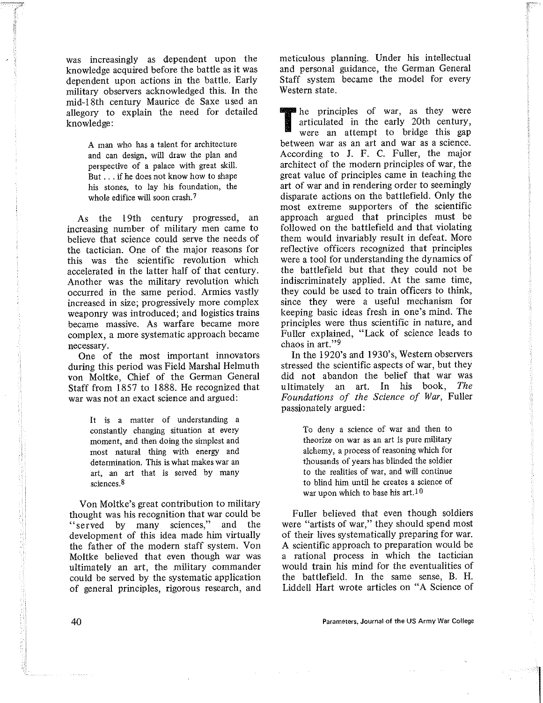was increasingly as dependent upon the knowledge acquired before the battle as it was dependent upon actions in the battle. Early military observers acknowledged this. In the mid-18th century Maurice de Saxe used an allegory to explain the need for detailed knowledge:

> A man who has a talent for architecture and can design, will draw the plan and perspective of a palace with great skill. But ... if he does not know how to shape his stones, to lay his foundation, the whole edifice will soon crash.<sup>7</sup>

As the 19th century progressed, an increasing number of military men came to believe that science could serve the needs of the tactician. One of the major reasons for this was the scientific revolution which accelerated in the latter half of that century. Another was the military revolution which occurred in the same period. Armies vastly increased in size; progressively more complex weaponry was introduced; and logistics trains became massive. As warfare became more complex, a more systematic approach became necessary.

One of the most important innovators during this period was Field Marshal Helmuth von Moltke, Chief of the German General Staff from 1857 to 1888. He recognized that war was not an exact science and argued:

> It is a matter of understanding a constantly changing situation at every moment, and then doing the simplest and most natural thing with energy and determination. This is what makes war an art, an art that is served by many sciences, 8

Von Moltke's great contribution to military thought was his recognition that war could be "served by many sciences," and the development of this idea made him virtually the father of the modern staff system. Von Moltke believed that even though war was ultimately an art, the military commander could be served by the systematic application of general principles, rigorous research, and meticulous planning. Under his intellectual and personal guidance, the German General Staff system became the model for every Western state.

The principles of war, as they were articulated in the early 20th century, were an attempt to bridge this gap between war as an art and war as a science. According to J. F. C. Fuller, the major architect of the modern principles of war, the great value of principles came in teaching the art of war and in rendering order to seemingly disparate actions on the battlefield. Only the most extreme supporters of the scientific approach argued that principles must be followed on the battlefield and that violating them would invariably result in defeat. More reflective officers recognized that principles were a tool for understanding the dynamics of the battlefield but that they could not be indiscriminately applied. At the same time, they could be used to train officers to think, since they were a useful mechanism for keeping basic ideas fresh in one's mind. The principles were thus scientific in nature, and Fuller explained, "Lack of science leads to chaos in art."9

In the 1920's and 1930's, Western observers stressed the scientific aspects of war, but they did not abandon the belief that war was<br>ultimately an art. In his book. The ultimately an art. In his book, *Foundations of the Science of War,* Fuller passionately argued:

> To deny a science of war and then to **theorize on war as an art is pure military**  alchemy, a process of reasoning which for thousands of years has blinded the soldier to the realities of war, and will continue to blind him until he creates a science of war upon which to base his art. $10$

Fuller believed that even though soldiers were "artists of war," they should spend most of their lives systematically preparing for war. A scientific approach to preparation would be a rational process in which the tactician would train his mind for the eventualities of the battlefield. In the same sense, B. H. Liddell Hart wrote articles on "A Science of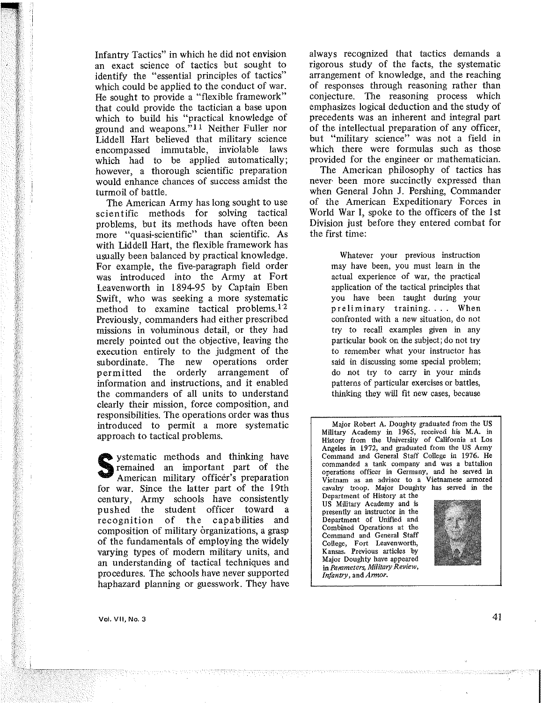Infantry Tactics" in which he did not envision an exact science of tactics but sought to identify the "essential principles of tactics" which could be applied to the conduct of war. He sought to provide a "flexible framework" that could provide the tactician a base upon which to build his "practical knowledge of ground and weapons."!! Neither Fuller nor Liddell Hart believed that military science encompassed immutable, inviolable laws which had to be applied automatically; however, a thorough scientific preparation would enhance chances of success amidst the turmoil of battle.

The American Army has long sought to use scientific methods for solving tactical problems, but its methods have often been more "quasi-scientific" than scientific. As with Liddell Hart, the flexible framework has usually been balanced by practical knowledge. For example, the five-paragraph field order was introduced into the Army at Fort Leavenworth in 1894-95 by Captain Eben Swift, who was seeking a more systematic method to examine tactical problems.<sup>12</sup> Previously, commanders had either prescribed missions in voluminous detail, or they had merely pointed out the objective, leaving the execution entirely to the judgment of the subordinate. The new operations order permitted the orderly arrangement of information and instructions, and it enabled the commanders of all units to understand clearly their mission, force composition, and responsibilities. The operations order was thus introduced to permit a more systematic approach to tactical problems.

systematic methods and thinking have<br>remained an important part of the<br>American military officer's preparation remained an important part of the American military officer's preparation for war. Since the latter part of the 19th century, Army schools have consistently pushed the student officer toward a recognition of the capabilities and composition of military organizations, a grasp of the fundamentals of employing the widely varying types of modern military units, and an understanding of tactical techniques and procedures. The schools have never supported haphazard planning or guesswork. They have

always recognized that tactics demands a rigorous study of the facts, the systematic arrangement of knowledge, and the reaching of responses through reasoning rather than conjecture. The reasoning process which emphasizes logical deduction and the study of precedents was an inherent and integral part of the intellectual preparation of any officer, but "military science" was not a field in which there were formulas such as those provided for the engineer or mathematician.

The American philosophy of tactics has never- been more succinctly expressed than when General John J. Pershing, Commander of the American Expeditionary Forces in World War I, spoke to the officers of the 1st Division just before they entered combat for the first time:

> **Whatever your previous instruction**  may have been, you must learn in the actual experience of war, the practical application of the tactical principles that you have been taught during your preliminary training.... When confronted with a new situation, do not try to recall examples given in any particular book on the subject; do not try to remember what your instructor has said in discussing some special problem; do not try to carry in your minds patterns of particular exercises or battles, thinking they will fit new cases, because

**Major Robert A. Doughty graduated from the US Military Academy in 1965, received his M.A. in History from the University of California at Los Angeles in 1972, and graduated from the US Army Command and General Staff College in 1976. He commanded a tank company and was a battalion operations officer in Germany, and he served in Vietnam as an advisor to a Vietnamese armored cavalry troop. Major Doughty has served in the Department of History at the US Military Academy and is presently an instructor in the Department of Unified and Combined Operations at the Command and General Staff College, Fort Leavenworth, Kansas. Previous articles by Major Doughty have appeared in** *Parameters, Military Review, Infantry,* and *Armor.*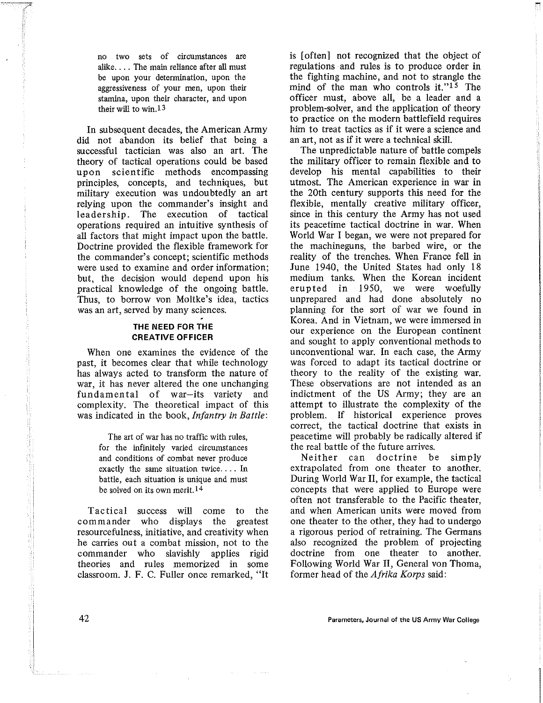**no two sets of circumstances are**  alike.... The main reliance after all must be upon your determination, upon the **aggressiveness of your men, upon their stamina, upon their character, and upon**  their will to win.<sup>13</sup>

In subsequent decades, the American Army did not abandon its belief that being a successful tactician was also an art. The theory of tactical operations could be based upon scientific methods encompassing principles, concepts, and techniques, but military execution was undoubtedly an art relying upon the commander's insight and leadership. The execution of tactical operations required an intuitive synthesis of all factors that might impact upon the battle. Doctrine provided the flexible framework for the commander's concept; scientific methods were used to examine and order information; but, the decision would depend upon his practical knowledge of the ongoing battle. Thus, to borrow von Moltke's idea, tactics was an art, served by many sciences.

## THE NEED FOR THE CREATIVE OFFICER

When one examines the evidence of the past, it becomes clear that while technology has always acted to transform the nature of war, it has never altered the one unchanging fundamental of war-its variety and complexity. The theoretical impact of this was indicated in the book, *Infantry in Battle:* 

> The art of war has no traffic with rules, for the infinitely varied circumstances and conditions of combat never produce exactly the same situation twice.... In battle, each situation is unique and must be solved on its own merit. 14

Tactical success will come to the commander who displays the greatest resourcefulness, initiative, and creativity when he carries out a combat mission, not to the commander who slavishly applies rigid theories and rules memorized in some classroom. J. F. C. Fuller once remarked, "It

is [often] not recognized that the object of regulations and rules is to produce order in the fighting machine, and not to strangle the mind of the man who controls it."<sup>15</sup> The officer must, above all, be a leader and a problem-solver, and the application of theory to practice on the modern battlefield requires him to treat tactics as if it were a science and an art, not as if it were a technical skill.

The unpredictable nature of battle compels the military officer to remain flexible and to develop his mental capabilities to their utmost. The American experience in war in the 20th century supports this need for the flexible, mentally creative military officer, since in this century the Army has not used its peacetime tactical doctrine in war. When World War I began, we were not prepared for the machineguns, the barbed wire, or the reality of the trenches. When France fell in June 1940, the United States had only 18 medium tanks. When the Korean incident erupted in 1950, we were woefully unprepared and had done absolutely no planning for the sort of war we found in Korea. And in Vietnam, we were immersed in our experience on the European continent and sought to apply conventional methods to unconventional war. In each case, the Army was forced to adapt its tactical doctrine or theory to the reality of the existing war. These observations are not intended as an indictment of the US Army; they are an attempt to illustrate the complexity of the problem. If historical experience proves correct, the tactical doctrine that exists in peacetime will probably be radically altered if the real battle of the future arrives.

Neither can doctrine be simply extrapolated from one theater to another. During World War II, for example, the tactical concepts that were applied to Europe were often not transferable to the Pacific theater, and when American units were moved from one theater to the other, they had to undergo a rigorous period of retraining. The Germans also recognized the problem of projecting doctrine from one theater to another. Following World War II, General von Thoma, former head of the *Afrika Korps* said: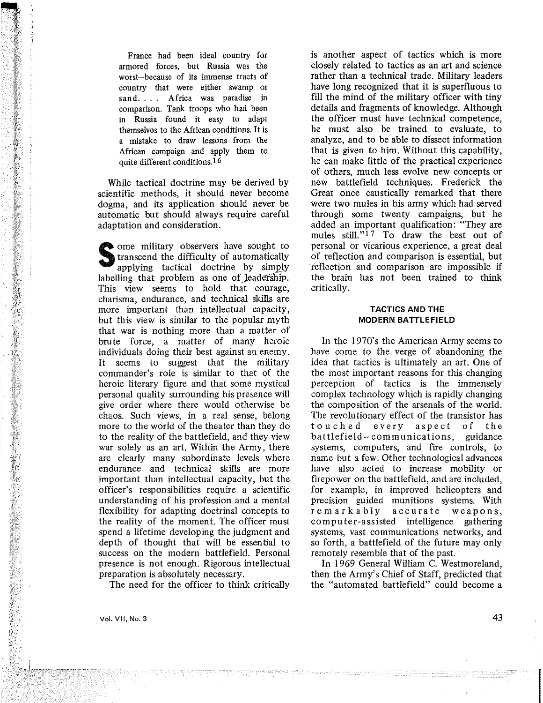France had been ideal country for armored forces, but Russia was the worst-because of its immense tracts of country that were either swamp or sand. . . Africa was paradise in comparison. Tank troops who had been in Russia found it easy to adapt themselves to the African conditions. It is a mistake to draw lessons from the African campaign and apply them to quite different conditions.16

While tactical doctrine may be derived by scientific methods, it should never become dogma, and its application should never be automatic but should always require careful adaptation and consideration.

Some military observers have sought to transcend the difficulty of automatically applying tactical doctrine by simply labelling that problem as one of leadership. This view seems to hold that courage, charisma, endurance, and technical skills are more important than intellectual capacity, but this view is similar to the popular myth that war is nothing more than a matter of brute force, a matter of many heroic individuals doing their best against an enemy. It seems to suggest that the military commander's role is similar to that of the heroic literary figure and that some mystical personal quality surrounding his presence will give order where there would otherwise be chaos. Such views, in a real sense, belong more to the world of the theater than they do to the reality of the battlefield, and they view war solely as an art. Within the Army, there are clearly many subordinate levels where endurance and technical akills are more important than intellectual capacity, but the officer's responsibilities require a scientific understanding of his profession and a mental flexibility for adapting doctrinal concepts to the reality of the moment. The officer must spend a lifetime developing the judgment and depth of thought that will be essential to success on the modern battlefield. Personal presence is not enough. Rigorous intellectual preparation is absolutely necessary.

The need for the officer to think critically

is another aspect of tactics which is more closely related to tactics as an art and science rather than a technical trade. Military leaders have long recognized that it is superfluous to fill the mind of the military officer with tiny details and fragments of knowledge. Although the officer must have technical competence, he must also be trained to evaluate, to analyze, and to be able to dissect information that is given to him. Without this capability, he can make little of the practical experience of others, much less evolve new concepts or new battlefield techniques. Frederick the Great once caustically remarked that there were two mules in his army which had served through some twenty campaigns, but he added an important qualification: "They are mules still." $17$  To draw the best out of personal or vicarious experience, a great deal of reflection and comparison is essential, but fef1ection and comparison are impossible if the brain has not been trained to think critically.

## TACTICS AND THE MODERN BATTLEFIELD

In the 1970's the American Army seems to have come to the verge of abandoning the idea that tactics is ultimately an art. One of the most important reasons for this changing perception of tactics is the immensely complex technology which is rapidly changing the composition of the arsenals of the world. The revolutionary effect of the transistor has touched every aspect of the  $b$ attlefield-communications, systems, computers, and fire controls, to name but a few. Other technological advances have also acted to increase mobility or firepower on the battlefield, and are included, for example, in improved helicopters and precision guided munitions systems. With remarkably accurate weapons, computer-assisted intelligence gathering systems, vast communications networks, and so forth, a battlefield of the future may only remotely resemble that of the past.

In 1969 General William C. Westmoreland, then the Army's Chief of Staff, predicted that the "automated battlefield" could become a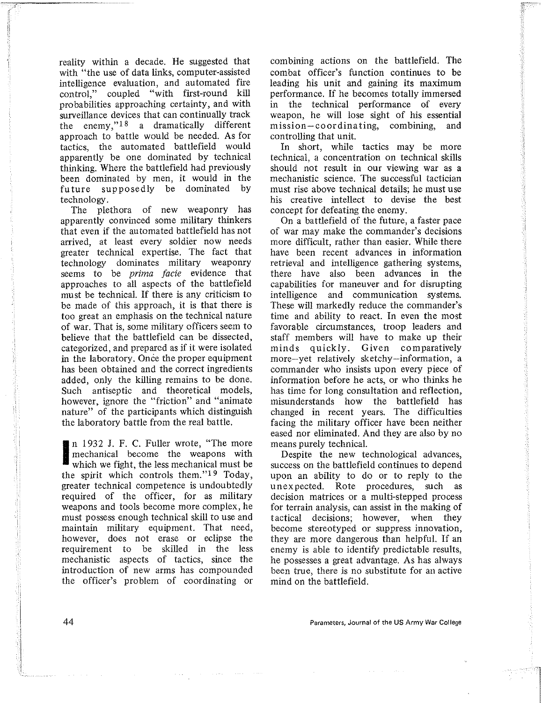reality within a decade. He suggested that with "the use of data links, computer-assisted intelligence evaluation, and automated fire control," coupled "with first-round kill probabilities approaching certainty, and with surveillance devices that can continually track the enemy,"18 a dramatically different approach to battle would be needed. As for tactics, the automated battlefield would apparently be one dominated by technical thinking. Where the battlefield had previously been dominated by men, it would in the fu ture supposedly be dominated by technology .

The plethora of new weaponry has apparently convinced some military thinkers that even if the automated battlefield has not arrived, at least every soldier now needs greater technical expertise. The fact that technology dominates military weaponry seems to be *prima facie* evidence that approaches to all aspects of the battlefield mu st be technical. If there is any criticism to be made of this approach, it is that there is too great an emphasis on the technical nature of war. That is, some military officers seem to believe that the battlefield can be dissected, categorized, and prepared as if it were isolated in the laboratory. Once the proper equipment has been obtained and the correct ingredients added, only the killing remains to be done. Such antiseptic and theoretical models, however, ignore the "friction" and "animate nature" of the participants which distinguish the laboratory battle from the real battle.

I n 1932 J. F. C. Fuller wrote, "The more mechanical become the weapons with which we fight, the less mechanical must be the spirit which controls them."19 Today, greater technical competence is undoubtedly required of the officer, for as military weapons and tools become more complex, he must possess enough technical skill to use and maintain military equipment. That need, however, does not erase or eclipse the requirement to be skilled in the less mechanistic aspects of tactics, since the introduction of new arms has compounded the officer's problem of coordinating or

combining actions on the battlefield. The combat officer's function continues to be leading his unit and gaining its maximum performance. If he becomes totally immersed in the technical performance of every weapon, he will lose sight of his essential mission-coordinating, combining, and controlling that unit.

In short, while tactics may be more technical, a concentration on technical skills should not result in our viewing war as a mechanistic science. The successful tactician must rise above technical details; he must use his creative intellect to devise the best concept for defeating the enemy.

On a battlefield of the future, a faster pace of war may make the commander's decisions more difficult, rather than easier. While there have been recent advances in information retrieval and intelligence gathering systems, there have also been advances in the capabilities for maneuver and for disrupting intelligence and communication systems. These will markedly reduce the commander's time and ability to react. In even the most favorable circumstances, troop leaders and staff members will have to make up their minds quickly. Given comparatively more-yet relatively sketchy-information, a commander who insists upon every piece of information before he acts, or who thinks he has time for long consultation and reflection, misunderstands how the battlefield has changed in recent years. The difficulties facing the military officer have been neither eased nor eliminated. And they are also by no means purely technical.

Despite the new technological advances, success on the battlefield continues to depend upon an ability to do or to reply to the unexpected. Rote procedures, such as decision matrices or a multi-stepped process for terrain analysis, can assist in the making of tactical decisions; however, when they become stereotyped or suppress innovation, they are more dangerous than helpful. If an enemy is able to identify predictable results, he possesses a great advantage. As has always been true, there is no substitute for an active mind on the battlefield.